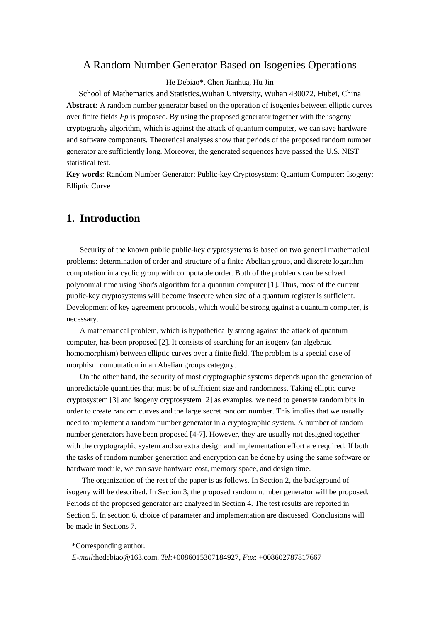### A Random Number Generator Based on Isogenies Operations

He Debiao\*, Chen Jianhua, Hu Jin

School of Mathematics and Statistics,Wuhan University, Wuhan 430072, Hubei, China **Abstract***:* A random number generator based on the operation of isogenies between elliptic curves over finite fields *Fp* is proposed. By using the proposed generator together with the isogeny cryptography algorithm, which is against the attack of quantum computer, we can save hardware and software components. Theoretical analyses show that periods of the proposed random number generator are sufficiently long. Moreover, the generated sequences have passed the U.S. NIST statistical test.

**Key words**: Random Number Generator; Public-key Cryptosystem; Quantum Computer; Isogeny; Elliptic Curve

# **1. Introduction**

Security of the known public public-key cryptosystems is based on two general mathematical problems: determination of order and structure of a finite Abelian group, and discrete logarithm computation in a cyclic group with computable order. Both of the problems can be solved in polynomial time using Shor's algorithm for a quantum computer [1]. Thus, most of the current public-key cryptosystems will become insecure when size of a quantum register is sufficient. Development of key agreement protocols, which would be strong against a quantum computer, is necessary.

A mathematical problem, which is hypothetically strong against the attack of quantum computer, has been proposed [2]. It consists of searching for an isogeny (an algebraic homomorphism) between elliptic curves over a finite field. The problem is a special case of morphism computation in an Abelian groups category.

On the other hand, the security of most cryptographic systems depends upon the generation of unpredictable quantities that must be of sufficient size and randomness. Taking elliptic curve cryptosystem [3] and isogeny cryptosystem [2] as examples, we need to generate random bits in order to create random curves and the large secret random number. This implies that we usually need to implement a random number generator in a cryptographic system. A number of random number generators have been proposed [4-7]. However, they are usually not designed together with the cryptographic system and so extra design and implementation effort are required. If both the tasks of random number generation and encryption can be done by using the same software or hardware module, we can save hardware cost, memory space, and design time.

The organization of the rest of the paper is as follows. In Section 2, the background of isogeny will be described. In Section 3, the proposed random number generator will be proposed. Periods of the proposed generator are analyzed in Section 4. The test results are reported in Section 5. In section 6, choice of parameter and implementation are discussed. Conclusions will be made in Sections 7.

<sup>\*</sup>Corresponding author.

*E-mail*:hedebiao@163.com, *Tel*:+0086015307184927, *Fax*: +008602787817667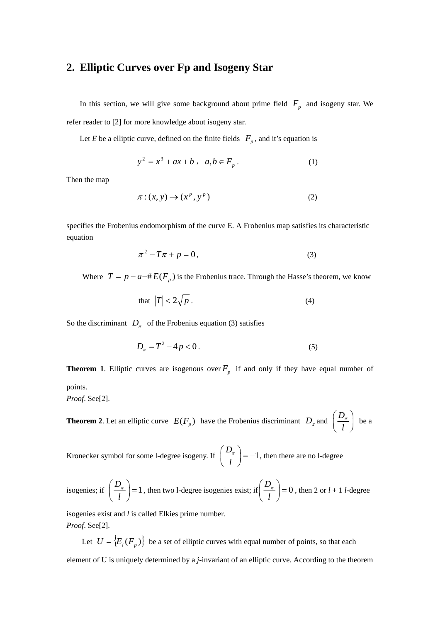# **2. Elliptic Curves over Fp and Isogeny Star**

In this section, we will give some background about prime field  $F_p$  and isogeny star. We refer reader to [2] for more knowledge about isogeny star.

Let *E* be a elliptic curve, defined on the finite fields  $F_p$ , and it's equation is

$$
y^2 = x^3 + ax + b , a,b \in F_p.
$$
 (1)

Then the map

$$
\pi: (x, y) \to (x^p, y^p) \tag{2}
$$

specifies the Frobenius endomorphism of the curve E. A Frobenius map satisfies its characteristic equation

$$
\pi^2 - T\pi + p = 0,\tag{3}
$$

Where  $T = p - a - \#E(F_p)$  is the Frobenius trace. Through the Hasse's theorem, we know

that 
$$
|T| < 2\sqrt{p} \tag{4}
$$

So the discriminant  $D_{\pi}$  of the Frobenius equation (3) satisfies

$$
D_{\pi} = T^2 - 4p < 0 \tag{5}
$$

**Theorem 1.** Elliptic curves are isogenous over  $F_p$  if and only if they have equal number of points.

*Proof*. See[2].

**Theorem 2**. Let an elliptic curve  $E(F_p)$  have the Frobenius discriminant  $D_n$  and  $\left(\frac{D_n}{D}\right)$ *l*  $(D_{\pi} \setminus$  $\left(\frac{E_{\pi}}{l}\right)$  be a

Kronecker symbol for some l-degree isogeny. If  $\left(\frac{D_{\pi}}{I}\right) = -1$  $\left(\frac{D_{\pi}}{l}\right)$  = -1, then there are no l-degree

isogenies; if 
$$
\left(\frac{D_{\pi}}{l}\right) = 1
$$
, then two l-degree isogenies exist; if  $\left(\frac{D_{\pi}}{l}\right) = 0$ , then 2 or  $l + 1$  l-degree

isogenies exist and *l* is called Elkies prime number. *Proof*. See[2].

Let  $U = \{E_i(F_p)\}\)$  be a set of elliptic curves with equal number of points, so that each

element of U is uniquely determined by a *j*-invariant of an elliptic curve. According to the theorem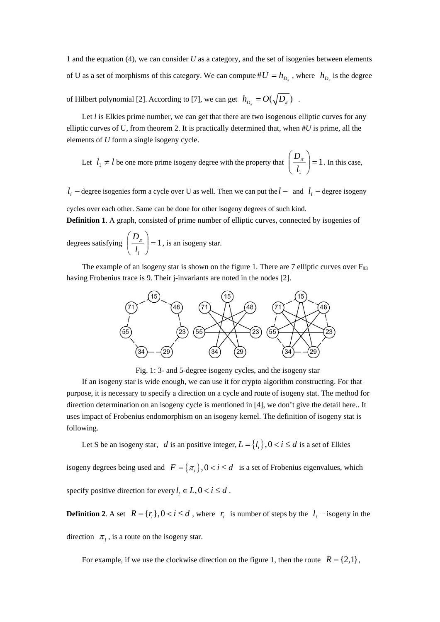1 and the equation (4), we can consider *U* as a category, and the set of isogenies between elements of U as a set of morphisms of this category. We can compute  $\#U = h_{D}$ , where  $h_{D}$  is the degree

of Hilbert polynomial [2]. According to [7], we can get  $h_{D_{\tau}} = O(\sqrt{D_{\tau}})$ .

Let *l* is Elkies prime number, we can get that there are two isogenous elliptic curves for any elliptic curves of U, from theorem 2. It is practically determined that, when #*U* is prime, all the elements of *U* form a single isogeny cycle.

Let 
$$
l_1 \neq l
$$
 be one more prime isogeny degree with the property that  $\left(\frac{D_{\pi}}{l_1}\right) = 1$ . In this case,

*l<sub>i</sub>* − degree isogenies form a cycle over U as well. Then we can put the *l* − and *l<sub>i</sub>* − degree isogeny

cycles over each other. Same can be done for other isogeny degrees of such kind. **Definition 1**. A graph, consisted of prime number of elliptic curves, connected by isogenies of

degrees satisfying  $\left|\frac{D_{\pi}}{I}\right|=1$ ⎠  $\setminus$  $\parallel$ ⎝  $\sqrt{}$ *i l*  $\left(D_{\pi}\right)$  = 1, is an isogeny star.

The example of an isogeny star is shown on the figure 1. There are 7 elliptic curves over  $F_{83}$ having Frobenius trace is 9. Their j-invariants are noted in the nodes [2].



Fig. 1: 3- and 5-degree isogeny cycles, and the isogeny star

If an isogeny star is wide enough, we can use it for crypto algorithm constructing. For that purpose, it is necessary to specify a direction on a cycle and route of isogeny stat. The method for direction determination on an isogeny cycle is mentioned in [4], we don't give the detail here.. It uses impact of Frobenius endomorphism on an isogeny kernel. The definition of isogeny stat is following.

Let S be an isogeny star, *d* is an positive integer,  $L = \{l_i\}$ ,  $0 < i \le d$  is a set of Elkies

isogeny degrees being used and  $F = \{\pi_i\}$ ,  $0 < i \le d$  is a set of Frobenius eigenvalues, which specify positive direction for every  $l_i \in L$ ,  $0 < i \le d$ .

**Definition 2**. A set  $R = \{r_i\}, 0 < i \le d$ , where  $r_i$  is number of steps by the  $l_i$  – isogeny in the

direction  $\pi_i$ , is a route on the isogeny star.

For example, if we use the clockwise direction on the figure 1, then the route  $R = \{2,1\}$ ,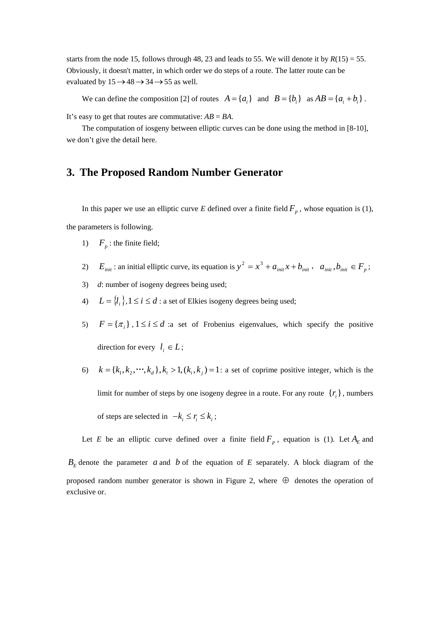starts from the node 15, follows through 48, 23 and leads to 55. We will denote it by  $R(15) = 55$ . Obviously, it doesn't matter, in which order we do steps of a route. The latter route can be evaluated by  $15 \rightarrow 48 \rightarrow 34 \rightarrow 55$  as well.

We can define the composition [2] of routes  $A = \{a_i\}$  and  $B = \{b_i\}$  as  $AB = \{a_i + b_i\}$ .

It's easy to get that routes are commutative: *AB* = *BA*.

The computation of iosgeny between elliptic curves can be done using the method in [8-10], we don't give the detail here.

### **3. The Proposed Random Number Generator**

In this paper we use an elliptic curve *E* defined over a finite field  $F_p$ , whose equation is (1),

the parameters is following.

- 1)  $F<sub>n</sub>$ : the finite field;
- 2)  $E_{\text{init}}$ : an initial elliptic curve, its equation is  $y^2 = x^3 + a_{\text{init}}x + b_{\text{init}}$ ,  $a_{\text{init}}$ ,  $b_{\text{init}} \in F_p$ ;
- 3) *d*: number of isogeny degrees being used;
- 4)  $L = \{l_i\}, 1 \le i \le d$ : a set of Elkies isogeny degrees being used;
- 5)  $F = {\pi_i}$ ,  $1 \le i \le d$  :a set of Frobenius eigenvalues, which specify the positive direction for every  $l_i \in L$ ;
- 6)  $k = {k_1, k_2, \cdots, k_d}, k_i > 1, (k_i, k_i) = 1$ : a set of coprime positive integer, which is the limit for number of steps by one isogeny degree in a route. For any route  $\{r_i\}$ , numbers of steps are selected in  $-k_i \le r_i \le k_i$ ;

Let *E* be an elliptic curve defined over a finite field  $F_p$ , equation is (1). Let  $A_E$  and

 $B<sub>E</sub>$  denote the parameter *a* and *b* of the equation of *E* separately. A block diagram of the proposed random number generator is shown in Figure 2, where  $\oplus$  denotes the operation of exclusive or.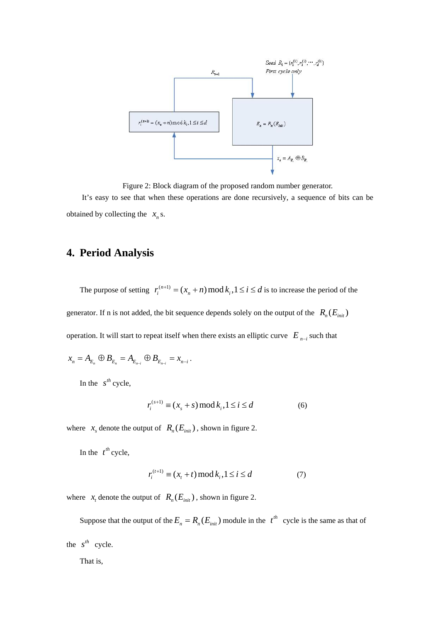

Figure 2: Block diagram of the proposed random number generator. It's easy to see that when these operations are done recursively, a sequence of bits can be obtained by collecting the  $x_n$  s.

# **4. Period Analysis**

The purpose of setting  $r_i^{(n+1)} = (x_n + n) \mod k_i, 1 \le i \le d$  is to increase the period of the generator. If n is not added, the bit sequence depends solely on the output of the  $R_n(E_{\text{init}})$ operation. It will start to repeat itself when there exists an elliptic curve  $E_{n-i}$  such that

$$
x_{n} = A_{E_{n}} \oplus B_{E_{n}} = A_{E_{n-i}} \oplus B_{E_{n-i}} = x_{n-i}.
$$

In the  $s^{th}$  cycle,

$$
r_i^{(s+1)} \equiv (x_s + s) \operatorname{mod} k_i, 1 \le i \le d \tag{6}
$$

where  $x_s$  denote the output of  $R_n(E_{\text{init}})$ , shown in figure 2.

In the  $t^{th}$  cycle,

$$
r_i^{(t+1)} \equiv (x_t + t) \mod k_i, 1 \le i \le d \tag{7}
$$

where  $x_t$  denote the output of  $R_n(E_{init})$ , shown in figure 2.

Suppose that the output of the  $E_n = R_n(E_{init})$  module in the  $t^{th}$  cycle is the same as that of the  $s^{th}$  cycle.

That is,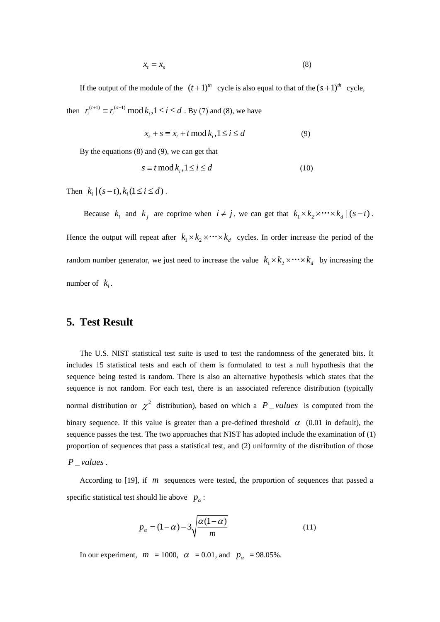$$
x_t = x_s \tag{8}
$$

If the output of the module of the  $(t+1)^{th}$  cycle is also equal to that of the  $(s+1)^{th}$  cycle, then  $r_i^{(t+1)} \equiv r_i^{(s+1)} \mod k_i, 1 \le i \le d$ . By (7) and (8), we have

$$
x_s + s \equiv x_t + t \mod k_i, 1 \le i \le d \tag{9}
$$

By the equations (8) and (9), we can get that

$$
s \equiv t \mod k_i, 1 \le i \le d \tag{10}
$$

Then  $k_i | (s-t), k_i (1 \le i \le d)$ .

Because  $k_i$  and  $k_j$  are coprime when  $i \neq j$ , we can get that  $k_1 \times k_2 \times \cdots \times k_d \mid (s-t)$ . Hence the output will repeat after  $k_1 \times k_2 \times \cdots \times k_d$  cycles. In order increase the period of the random number generator, we just need to increase the value  $k_1 \times k_2 \times \cdots \times k_d$  by increasing the number of  $k_i$ .

# **5. Test Result**

The U.S. NIST statistical test suite is used to test the randomness of the generated bits. It includes 15 statistical tests and each of them is formulated to test a null hypothesis that the sequence being tested is random. There is also an alternative hypothesis which states that the sequence is not random. For each test, there is an associated reference distribution (typically normal distribution or  $\chi^2$  distribution), based on which a *P \_values* is computed from the binary sequence. If this value is greater than a pre-defined threshold  $\alpha$  (0.01 in default), the sequence passes the test. The two approaches that NIST has adopted include the examination of (1) proportion of sequences that pass a statistical test, and (2) uniformity of the distribution of those

#### *P* \_ *values* .

According to [19], if *m* sequences were tested, the proportion of sequences that passed a specific statistical test should lie above  $p_a$ :

$$
p_{\alpha} = (1 - \alpha) - 3\sqrt{\frac{\alpha(1 - \alpha)}{m}}
$$
 (11)

In our experiment,  $m = 1000$ ,  $\alpha = 0.01$ , and  $p_{\alpha} = 98.05\%$ .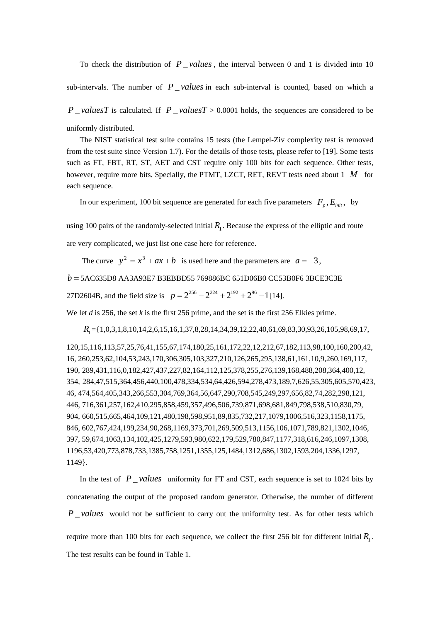To check the distribution of  $P_{value}$ , the interval between 0 and 1 is divided into 10

sub-intervals. The number of  $P$  *values* in each sub-interval is counted, based on which a

*P* valuesT is calculated. If *P* valuesT > 0.0001 holds, the sequences are considered to be

uniformly distributed.

The NIST statistical test suite contains 15 tests (the Lempel-Ziv complexity test is removed from the test suite since Version 1.7). For the details of those tests, please refer to [19]. Some tests such as FT, FBT, RT, ST, AET and CST require only 100 bits for each sequence. Other tests, however, require more bits. Specially, the PTMT, LZCT, RET, REVT tests need about 1 *M* for each sequence.

In our experiment, 100 bit sequence are generated for each five parameters  $F_p$ ,  $E_{init}$ , by

using 100 pairs of the randomly-selected initial  $R_1$ . Because the express of the elliptic and route are very complicated, we just list one case here for reference.

The curve  $y^2 = x^3 + ax + b$  is used here and the parameters are  $a = -3$ ,

*b* = 5AC635D8 AA3A93E7 B3EBBD55 769886BC 651D06B0 CC53B0F6 3BCE3C3E

27D2604B, and the field size is  $p = 2^{256} - 2^{224} + 2^{192} + 2^{96} - 1$ [14].

We let *d* is 256, the set *k* is the first 256 prime, and the set is the first 256 Elkies prime.

*R*<sub>1</sub> = {1,0,3,1,8,10,14,2,6,15,16,1,37,8,28,14,34,39,12,22,40,61,69,83,30,93,26,105,98,69,17,

120,15,116,113,57,25,76,41,155,67,174,180,25,161,172,22,12,212,67,182,113,98,100,160,200,42, 16, 260,253,62,104,53,243,170,306,305,103,327,210,126,265,295,138,61,161,10,9,260,169,117, 190, 289,431,116,0,182,427,437,227,82,164,112,125,378,255,276,139,168,488,208,364,400,12, 354, 284,47,515,364,456,440,100,478,334,534,64,426,594,278,473,189,7,626,55,305,605,570,423, 46, 474,564,405,343,266,553,304,769,364,56,647,290,708,545,249,297,656,82,74,282,298,121, 446, 716,361,257,162,410,295,858,459,357,496,506,739,871,698,681,849,798,538,510,830,79, 904, 660,515,665,464,109,121,480,198,598,951,89,835,732,217,1079,1006,516,323,1158,1175, 846, 602,767,424,199,234,90,268,1169,373,701,269,509,513,1156,106,1071,789,821,1302,1046, 397, 59,674,1063,134,102,425,1279,593,980,622,179,529,780,847,1177,318,616,246,1097,1308, 1196,53,420,773,878,733,1385,758,1251,1355,125,1484,1312,686,1302,1593,204,1336,1297, 1149}.

In the test of  $P$  *values* uniformity for FT and CST, each sequence is set to 1024 bits by concatenating the output of the proposed random generator. Otherwise, the number of different *P* values would not be sufficient to carry out the uniformity test. As for other tests which require more than 100 bits for each sequence, we collect the first 256 bit for different initial  $R_1$ . The test results can be found in Table 1.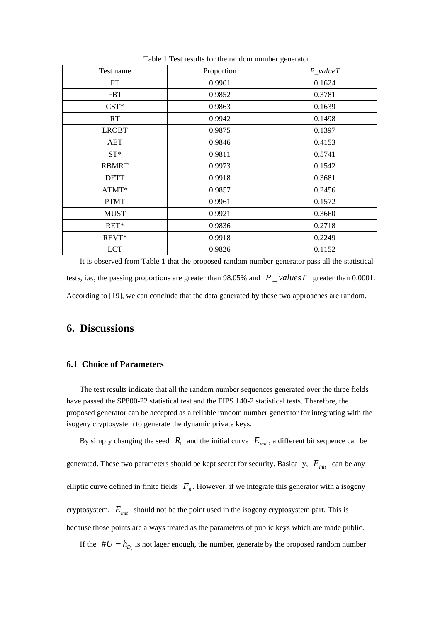| Test name    | Proportion | $P_valueT$ |
|--------------|------------|------------|
| FT           | 0.9901     | 0.1624     |
| <b>FBT</b>   | 0.9852     | 0.3781     |
| $CST*$       | 0.9863     | 0.1639     |
| RT           | 0.9942     | 0.1498     |
| <b>LROBT</b> | 0.9875     | 0.1397     |
| AET          | 0.9846     | 0.4153     |
| $ST^*$       | 0.9811     | 0.5741     |
| <b>RBMRT</b> | 0.9973     | 0.1542     |
| <b>DFTT</b>  | 0.9918     | 0.3681     |
| ATMT*        | 0.9857     | 0.2456     |
| <b>PTMT</b>  | 0.9961     | 0.1572     |
| <b>MUST</b>  | 0.9921     | 0.3660     |
| RET*         | 0.9836     | 0.2718     |
| REVT*        | 0.9918     | 0.2249     |
| <b>LCT</b>   | 0.9826     | 0.1152     |

Table 1.Test results for the random number generator

It is observed from Table 1 that the proposed random number generator pass all the statistical tests, i.e., the passing proportions are greater than 98.05% and  $P$  *\_valuesT* greater than 0.0001. According to [19], we can conclude that the data generated by these two approaches are random.

# **6. Discussions**

### **6.1 Choice of Parameters**

The test results indicate that all the random number sequences generated over the three fields have passed the SP800-22 statistical test and the FIPS 140-2 statistical tests. Therefore, the proposed generator can be accepted as a reliable random number generator for integrating with the isogeny cryptosystem to generate the dynamic private keys.

By simply changing the seed  $R_1$  and the initial curve  $E_{init}$ , a different bit sequence can be

generated. These two parameters should be kept secret for security. Basically,  $E_{\text{init}}$  can be any

elliptic curve defined in finite fields  $F_p$ . However, if we integrate this generator with a isogeny

cryptosystem,  $E_{\text{init}}$  should not be the point used in the isogeny cryptosystem part. This is

because those points are always treated as the parameters of public keys which are made public.

If the  $#U = h_{D<sub>r</sub>}$  is not lager enough, the number, generate by the proposed random number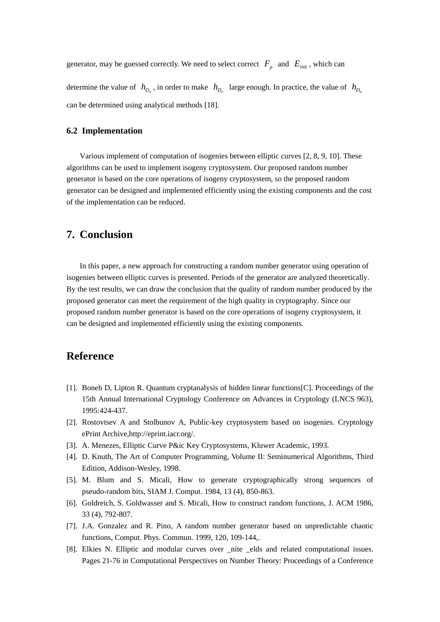generator, may be guessed correctly. We need to select correct  $F_p$  and  $E_{init}$ , which can determine the value of  $h_{D_{\pi}}$ , in order to make  $h_{D_{\pi}}$  large enough. In practice, the value of  $h_{D_{\pi}}$ can be determined using analytical methods [18].

#### **6.2 Implementation**

Various implement of computation of isogenies between elliptic curves [2, 8, 9, 10]. These algorithms can be used to implement isogeny cryptosystem. Our proposed random number generator is based on the core operations of isogeny cryptosystem, so the proposed random generator can be designed and implemented efficiently using the existing components and the cost of the implementation can be reduced.

### **7. Conclusion**

In this paper, a new approach for constructing a random number generator using operation of isogenies between elliptic curves is presented. Periods of the generator are analyzed theoretically. By the test results, we can draw the conclusion that the quality of random number produced by the proposed generator can meet the requirement of the high quality in cryptography. Since our proposed random number generator is based on the core operations of isogeny cryptosystem, it can be designed and implemented efficiently using the existing components.

# **Reference**

- [1]. Boneh D, Lipton R. Quantum cryptanalysis of hidden linear functions[C]. Proceedings of the 15th Annual International Cryptology Conference on Advances in Cryptology (LNCS 963), 1995:424-437.
- [2]. Rostovtsev A and Stolbunov A, Public-key cryptosystem based on isogenies. Cryptology ePrint Archive,http://eprint.iacr.org/.
- [3]. A. Menezes, Elliptic Curve P&ic Key Cryptosystems, Kluwer Academic, 1993.
- [4]. D. Knuth, The Art of Computer Programming, Volume II: Seminumerical Algorithms, Third Edition, Addison-Wesley, 1998.
- [5]. M. Blum and S. Micali, How to generate cryptographically strong sequences of pseudo-random bits, SIAM J. Comput. 1984, 13 (4), 850-863.
- [6]. Goldreich, S. Goldwasser and S. Micali, How to construct random functions, J. ACM 1986, 33 (4), 792-807.
- [7]. J.A. Gonzalez and R. Pino, A random number generator based on unpredictable chaotic functions, Comput. Phys. Commun. 1999, 120, 109-144,.
- [8]. Elkies N. Elliptic and modular curves over \_nite \_elds and related computational issues. Pages 21-76 in Computational Perspectives on Number Theory: Proceedings of a Conference